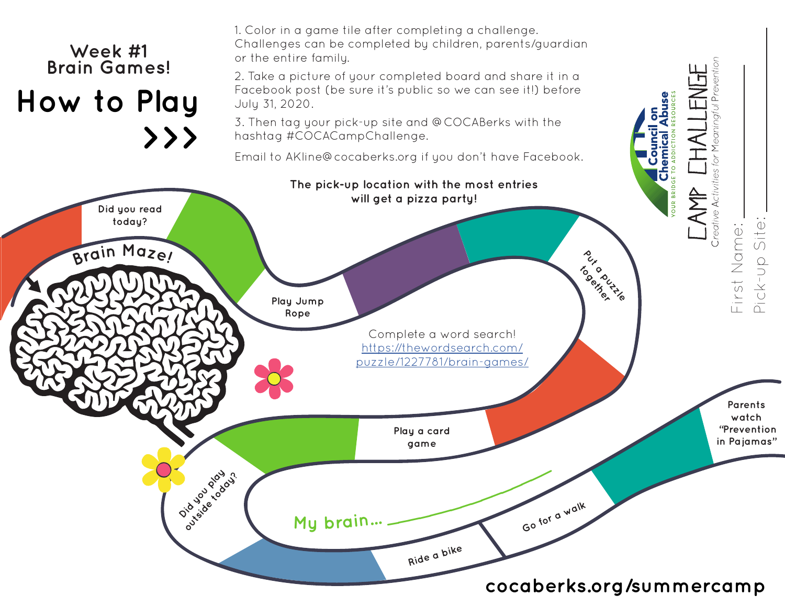## 1. Color in a game tile after completing a challenge. Challenges can be completed by children, parents/guardian **Week #1** or the entire family. **Brain Games!**Meaningful Prevention 2. Take a picture of your completed board and share it in a Facebook post (be sure it's public so we can see it!) before **How to Play** July 31, 2020. 3. Then tag your pick-up site and @COCABerks with the **>>>** hashtag #COCACampChallenge. Email to AKline@cocaberks.org if you don't have Facebook. Creative Activities for **The pick-up location with the most entries**  A<br>K **will get a pizza party! Did you read today? <sup>B</sup>rai<sup>n</sup> <sup>M</sup>aze! Put a puzzle Play Jump Rope** Complete a word search! https://thewordsearch.com/ puzzle/1227781/brain-games/  **"Prevention Play a card in Pajamas" game Did you play be designed Go for a walk <sup>M</sup><sup>y</sup> <sup>b</sup>rain... \_\_\_\_\_\_\_\_\_\_\_\_\_\_\_\_ Ride a bike**

## **cocaberks.org/summercamp**

First Name:

First Name:

**Parents watch**

Pick-up Site:

Pick-Up

 $\frac{1}{\sqrt{2}}\frac{1}{\sqrt{2}}\frac{1}{\sqrt{2}}\frac{1}{\sqrt{2}}\frac{1}{\sqrt{2}}\frac{1}{\sqrt{2}}\frac{1}{\sqrt{2}}\frac{1}{\sqrt{2}}\frac{1}{\sqrt{2}}\frac{1}{\sqrt{2}}\frac{1}{\sqrt{2}}\frac{1}{\sqrt{2}}\frac{1}{\sqrt{2}}\frac{1}{\sqrt{2}}\frac{1}{\sqrt{2}}\frac{1}{\sqrt{2}}\frac{1}{\sqrt{2}}\frac{1}{\sqrt{2}}\frac{1}{\sqrt{2}}\frac{1}{\sqrt{2}}\frac{1}{\sqrt{2}}\frac{1}{\sqrt{2}}$